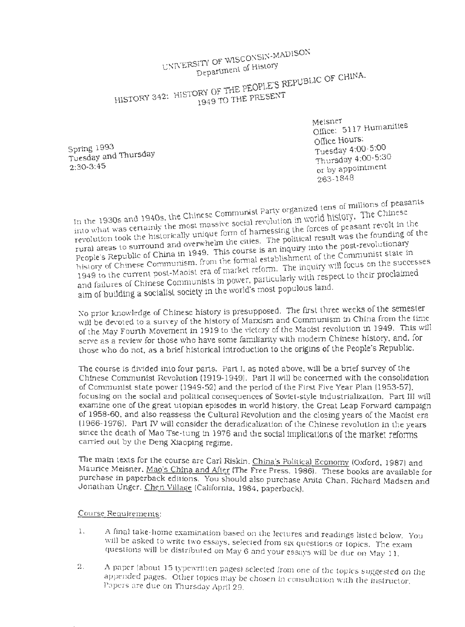WISCONSIN-MADISON  $UNNER$  $S11$ <sup>r</sup>  $O<sub>r</sub>$  of History

 $R_{\text{R}}$  . Republic OF CHINA.

THE p£0PLE S HISTORY 342:  $\frac{1}{1049}$  TO THE PRESENT

> Meisner<br>staat Humanities Office: 5117 Humaru office Hours: Tuesday 4:00-5:00 Thursday 4:00-5:30 or by appointment 263-1848

Spring 1993 Tuesday and Thursday 2:30-3:45

In the 1930s and 1940s, the Chinese Communist Party organized tens of millions of peasants into what was certainly the most massive social revolution in world history. The Chinese  $\frac{1}{2}$  and  $\frac{1}{2}$  and  $\frac{1}{2}$  as the mest massive social revolution  $\frac{1}{2}$ . o what was the historically unique form of natricssing the collection was the founding of the political result was the founding of the rev • de verwhelm the cities. The political result was the founding of the rural areas to surround and overwhelm the cities. The political result was the founding of the People's Republic of China in 1949. This course is a People's Republic of China in 1949. This course is an inquiry into the post-revolutionary  $\frac{1}{\text{F}}$  . From the reform the inquiry will focus on the successes  $\frac{1}{\text{F}}$  reform. The inquiry will focus on the successes 1949 to the current post-Maolst era of market reform. The with respect to their proclaimed and failures of Chinese Communists in power, particularly with respect to their proclaimed aim of building a socialist society in the world's most populous land.

No prior knowledge of Chinese history is presupposed. The first three weeks of the semester will be devoted to a survey of the history of Marxism and Communism in China from the time of the May Fourth Movement in 1919 to the victory of the Maoist revolution in 1949. This will serve as a review for those who have some familiarity with modern Chinese history, and. for those who do not, as a brief historical introduction to the origins of the People's Republic.

The course is divided into four parts. Part I, as noted above. will be a brief survey of the Chinese Communist Revolution ( 1919-1949). Part II Will be concerned with the consolidation of Communist state power ( 1949-52) and the period of the First Five Year Plan (1953-57). focusing on the social and political consequences of Soviet-style industrialization. Part III will examine one of the great utopian episodes in world history, the Great Leap Forward campaign of 1958-60. and also reassess the Cultural Revolution and the closing years of the Maoist era (1966-1976). Part IV will consider the deradicalization of the Chinese revolution in the years since the death of Mao Tse-tung in 1976 and the social implications of the market reforms carried out by the Deng Xiaoping regime.

The main texts for the course are Carl Riskin. China's Political Economy (Oxford, 1987) and Maurice Meisner. Mao's China and After (The Free Press. 1986). These books are available for purchase in paperback editions. You should also purchase Anita Chan. Richard Madsen and Jonathan Unger, Chen Village (California. 1984. paperback).

# Course Requirements:

- 1. A final take-home examination based on the lectures and readings listed below. You will be asked to write two essays, selected from six questions or topics. The exam questions will be distributed on May 6 and your essays will be due on May 11.
- 2. A paper (about 15 typewritten pages) selected from one of the topics suggested on the appended pages. Other topics may be chosen in consultation with the instructor. Papers are due on Thursday April 29.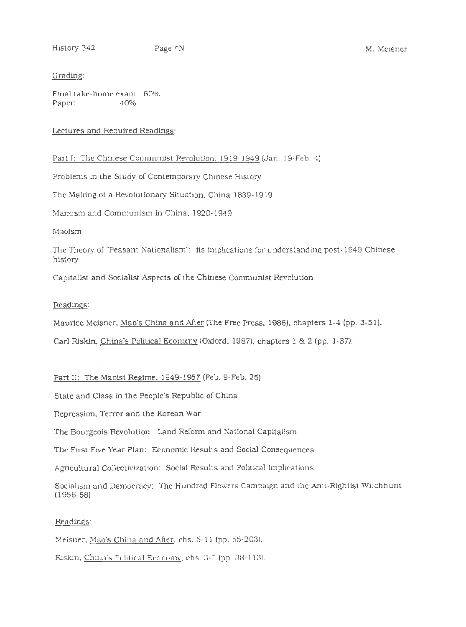#### Grading:

Final take-home exam: 60% Paper:  $40\%$ 

# Lectures and Required Readings:

Part I: The Chinese Communist Revolution. 1919-1949 (Jan. 19-Feb. 4)

Problems in the Study of Contemporary Chinese History

The Making of a Revolutionary Situation. China 1839-1919

Marxism and Communism in China, 1920-1949

Maoism

The Theory of "Peasant Nationalism": its implications for understanding post -1949 Chinese history

Capitalist and Socialist Aspects of the Chinese Communist Revolution

#### Readings:

Maurice Meisner. Mao's China and After (The Free Press, 1986). chapters 1-4 (pp. 3-51).

Carl Riskin, China's Political Economy (Oxford. 1987}. chapters l & 2 (pp. l-37).

Part II: The Maoist Regime. 1949-1957 (Feb. 9-Feb. 25)

State and Class in the People's Republic of China

Repression. Terror and the Korean War

The Bourgeois Revolution: Land Reform and National Capitalism

The First Five Year Plan: Economic Results and Social Consequences

Agricultural Collectivization: Social Results and Political Implications

Socialism and Democracy: The Hundred Flowers Campaign and the Anti-Rightist Witchhunt (1956-58)

## Readings:

Meisner. Mao's China and After. chs. 5-11 (pp. 55-203).

Riskin. China's Political Economy. chs. 3-5 (pp. 38-113).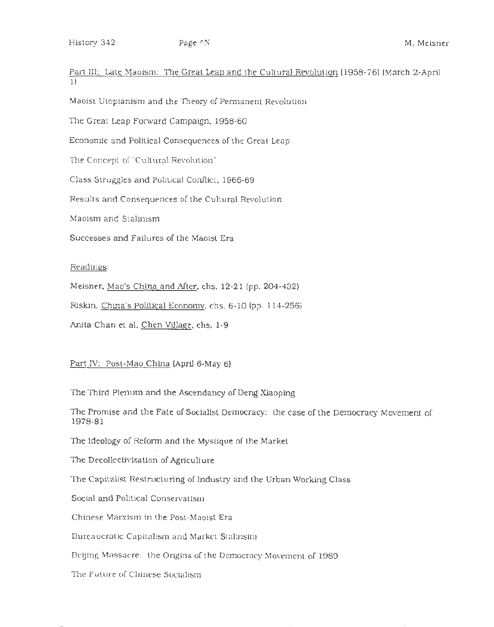Part III: Late Maoism: The Great Leap and the Cultural Revolution (1958-76) (March 2-April 1)

Maoist Utopianism and the Theory of Permanent Revolution

The Great Leap Forward Campaign. 1958-60

Economic and Political Consequences of the Great Leap

The Concept of "Cultural Revolution"

Class Struggles and Political Conflict. 1966-69

Results and Consequences of the Cultural Revolution

Maoism and Stalinism

Successes and Failures of the Maoist Era

## Readings:

Meisner, Mao's China and After, chs. 12-21 (pp. 204-432)

Riskin. China's Political Economv, chs. 6-10 (pp. 114-256)

Anita Chan et al. Chen Village. chs. 1-9

Part IV: Post-Mao China (April 6-May 6)

The Third Plenum and the Ascendancy of Deng Xiaoping

The Promise and the Fate of Socialist Democracy: the case of the Democracy Movement of 1978-81

The Ideology of Reform and the Mystique of the Market

The Decollectivization of Agriculture

The Capitalist Restructuring of Industry and the Urban Working Class

Social and Political Conservatism

Chinese Marxism in the Post-Maoist Era

Bureaucratic Capitalism and Market Stalinsim

Beijing Massacre: the Origins of the Democracy Movement of 1989

The Future of Chinese Socialism

(•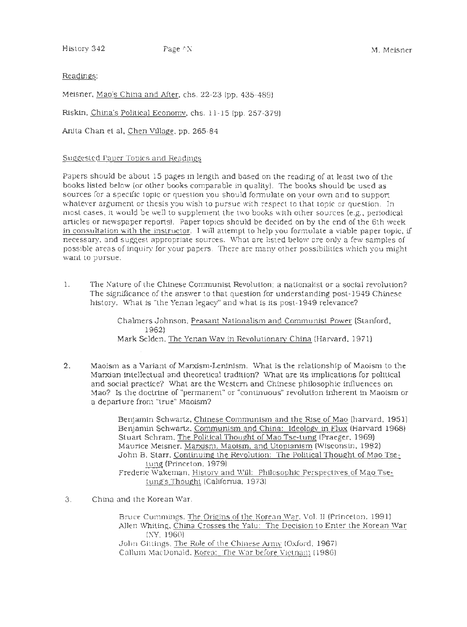History 342 Page ^N Page ^N Page 1 M. Meisner

# Readings:

Meisner. Mao's China and After. chs. 22-23 (pp. 435-489)

Riskin, China's Political Economy, chs. 11-15 (pp. 257-379).

Anita Chan et al, Chen Village, pp. 265-84

## Suggested Paper Topics and Readings

Papers should be about 15 pages in length and based on the reading of at least two of the books listed below {or other books comparable in quality). The books should be used as sources for a specific topic or question you should formulate on your own and to support whatever argument or thesis you wish to pursue with respect to that topic or question. In most cases. it would be well to supplement the two books with other sources (e.g .. periodical articles or newspaper reports). Paper topics should be decided on by the end of the 6th week in consultation with the instructor. I will attempt to help you formulate a Viable paper topic. if necessary, and suggest appropriate sources. What are listed below are only a few samples of possible areas of inquiry for your papers. There are many other possibilities which you might want to pursue.

l. The Nature of the Chinese Communist Revolution: a nationalist or a social revolution? The significance of the answer to that question for understanding post-1949 Chinese history. What is "the Yenan legacy" and what is its post-1949 relevance?

> Chalmers Johnson. Peasant Nationalism and Conununist Power (Stanford, 1962) Mark Selden. The Yenan Wav in Revolutionarv China {Harvard, 1971)

2. Maoism as a Variant of Marxism-Leninism. What is the relationship of Maoism to the Marxian intellectual and theoretical tradition? What are its implications for political and social practice? What are the Western and Chinese philosophic influences on Mao? Is the doctrine of "permanent" or "continuous" revolution inherent in Maoism or a departure from "true" Maoism?

> Benjamin Schwartz. Chinese Communism and the Rise of Mao (harvard. 1951) Benjamin Schwartz. Communism and China: Ideologv in Flux {Harvard 1968) Stuart Schram. The Political Thought of Mao Tse-tung (Praeger. 1969) Maurice Meisner. Marxism. Maoism. and Utopianism (Wisconsin. 1982) John B. Starr. Continuing the Revolution: The Political Thought of Mao Tsetung (Princeton. 1979) Frederic Wakeman. Historv and Will: Philosophic Perspectives of Mao Tsetung·s Thought (California. 1973)

3. China and the Korean War.

Bruce Cummings. The Origins of the Korean War. Vol. II (Princeton. 1991). AJien Whiting. China Crosses the Yalu: The Decision to Enter the Korean War (NY. 1960) John Gittings. The Role of the Chinese Amw (Oxford. 1967)

Callum MacDonald. Korea: The War before Vietnam (1986)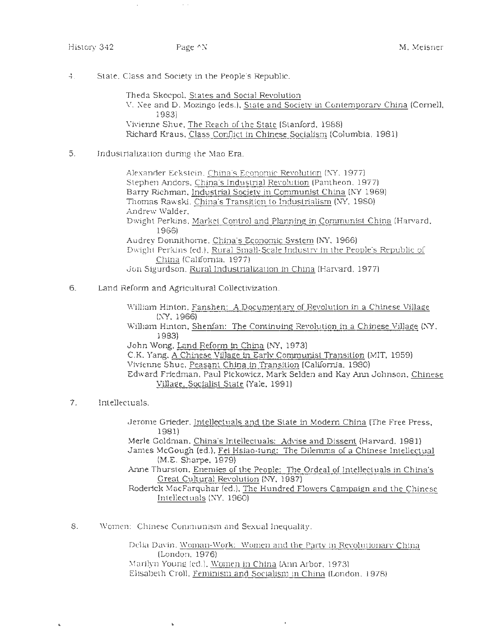#### History 342 Page ^N Page N M. Meisner

4. State. Class and Society in the People's Republic.

Theda Skocpol. States and Social Revolution V. Nee and D. Mozingo (eds.). State and Society in Contemporary China (Cornell, 1983) Vivienne Shue, The Reach of the State (Stanford. 1988) Richard Kraus. Class Conflict in Chinese Socialism (Columbia, 1981)

5. Industrialization during the Mao Era.

Alexander Eckstein. China's Economic Revolution (NY, 1977). Stephen Andors. China's Industrial Revolution (Pantheon. 1977) Barry Richman. Industrial Society in Communist China (NY 1969) Thomas Rawski. China's Transition to Industrialism (NY. 1980) Andrew Walder. Dwight Perkins. Market Control and Planning in Communist China (Harvard. 1966) Audrey Donnithome. China's Economic System (NY, 1966). Dwight Perkins (ed.). Rural Small-Scale Industrv in the People's Republic of China (California. 1977) Jon Sigurdson. Rural Industrialization in China (Harvard. 1977)

6. Land Reform and Agricultural Collectivization.

William Hinton. Fanshen: A Documentary of Revolution in a Chinese Village (NY, 1966) William Hinton. Shenfan: The Continuing Revolution in a Chinese Village (N'Y. 1983) John Wong. Land Reform in China (NY, 1973) C.K. Yang. A Chinese Village in Earlv Communist Transition (MIT. 1959) Vivienne Shue, Peasant China in Transition (California. 1980) Edward Friedman. Paul Pickowicz. Mark Selden and Kay Ann Johnson. Chinese Village. Socialist State (Yale, 1991)

7. Intellectuals.

II

Jerome Grieder. Intellectuals and the State in Modem China (The Free Press, 1981) Merle Goldman. China's Intellectuals: Advise and Dissent (Harvard. 1981) James McGough (ed.). Fei Hsiao-tung: The Dilemma of a Chinese Intellectual

(M.E. Sharpe. 1979)

Anne Thurston. Enemies of the People: The Ordeal of Intellectuals in China's Great Cultural Revolution (NY. 1987)

Roderick MacFarquhar (ed.). The Hundred Flowers Campaign and the Chinese Intellectuals (\I"Y. 1960)

8. Women: Chinese Communism and Sexual Inequality.

Delia Davin. Woman-Work: Women and the Party in Revolutionary China (London. 1976) !\1arilyn Young (ed.). Women in China (Ann Arbor. 1973) Elisabeth Croll. Feminism and Socialism in China (London. 1978)